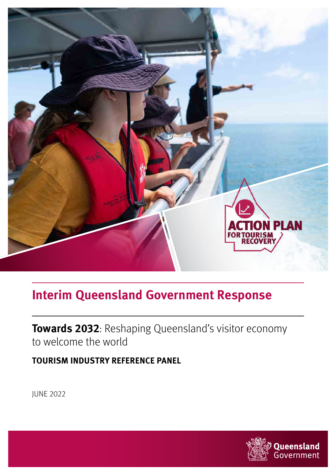

# **Interim Queensland Government Response**

**Towards 2032**: Reshaping Queensland's visitor economy to welcome the world

**TOURISM INDUSTRY REFERENCE PANEL**

JUNE 2022

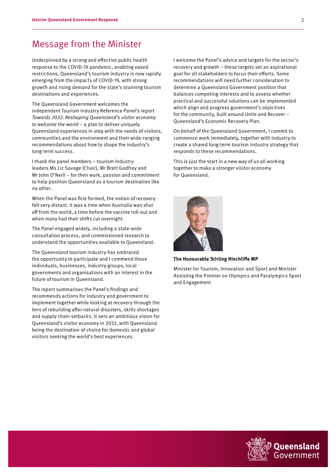### Message from the Minister

Underpinned by a strong and effective public health response to the COVID-19 pandemic, enabling eased restrictions, Queensland's tourism industry is now rapidly emerging from the impacts of COVID-19, with strong growth and rising demand for the state's stunning tourism destinations and experiences.

The Queensland Government welcomes the independent Tourism Industry Reference Panel's report Towards 2032: Reshaping Queensland's visitor economy to welcome the world  $-$  a plan to deliver uniquely Queensland experiences in step with the needs of visitors, communities and the environment and their wide-ranging recommendations about how to shape the industry's long-term success.

I thank the panel members – tourism industry leaders Ms Liz Savage (Chair), Mr Brett Godfrey and Mr John O'Neill – for their work, passion and commitment to help position Queensland as a tourism destination like no other.

When the Panel was first formed, the notion of recovery felt very distant. It was a time when Australia was shut off from the world, a time before the vaccine roll-out and when many had their shifts cut overnight.

The Panel engaged widely, including a state-wide consultation process, and commissioned research to understand the opportunities available to Queensland.

The Queensland tourism industry has embraced the opportunity to participate and I commend those individuals, businesses, industry groups, local governments and organisations with an interest in the future of tourism in Queensland.

The report summarises the Panel's findings and recommends actions for industry and government to implement together while looking at recovery through the lens of rebuilding after natural disasters, skills shortages and supply chain setbacks. It sets an ambitious vision for Queensland's visitor economy in 2032, with Queensland being the destination of choice for domestic and global visitors seeking the world's best experiences.

I welcome the Panel's advice and targets for the sector's recovery and growth – these targets set an aspirational goal for all stakeholders to focus their efforts. Some recommendations will need further consideration to determine a Queensland Government position that balances competing interests and to assess whether practical and successful solutions can be implemented which align and progress government's objectives for the community, built around Unite and Recover – Queensland's Economic Recovery Plan.

On behalf of the Queensland Government, I commit to commence work immediately, together with industry to create a shared long-term tourism industry strategy that responds to these recommendations.

This is just the start in a new way of us all working together to make a stronger visitor economy for Queensland.



**The Honourable Stirling Hinchliffe MP**

Minister for Tourism, Innovation and Sport and Minister Assisting the Premier on Olympics and Paralympics Sport and Engagement

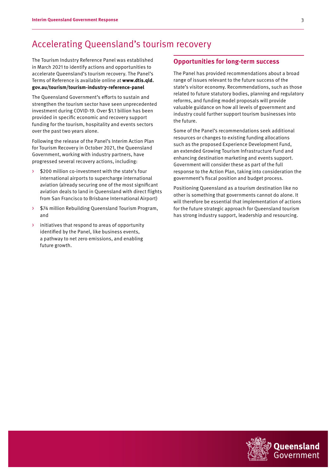## Accelerating Queensland's tourism recovery

The Tourism Industry Reference Panel was established in March 2021 to identify actions and opportunities to accelerate Queensland's tourism recovery. The Panel's Terms of Reference is available online at **[www.dtis.qld.](www.dtis.qld.gov.au/tourism/tourism-industry-reference-panel) [gov.au/tourism/tourism-industry-reference-panel](www.dtis.qld.gov.au/tourism/tourism-industry-reference-panel)**

The Queensland Government's efforts to sustain and strengthen the tourism sector have seen unprecedented investment during COVID-19. Over \$1.1 billion has been provided in specific economic and recovery support funding for the tourism, hospitality and events sectors over the past two years alone.

Following the release of the Panel's Interim Action Plan for Tourism Recovery in October 2021, the Queensland Government, working with industry partners, have progressed several recovery actions, including:

- › \$200 million co-investment with the state's four international airports to supercharge international aviation (already securing one of the most significant aviation deals to land in Queensland with direct flights from San Francisco to Brisbane International Airport)
- \$74 million Rebuilding Queensland Tourism Program, and
- › initiatives that respond to areas of opportunity identified by the Panel, like business events, a pathway to net zero emissions, and enabling future growth.

#### **Opportunities for long-term success**

The Panel has provided recommendations about a broad range of issues relevant to the future success of the state's visitor economy. Recommendations, such as those related to future statutory bodies, planning and regulatory reforms, and funding model proposals will provide valuable guidance on how all levels of government and industry could further support tourism businesses into the future.

Some of the Panel's recommendations seek additional resources or changes to existing funding allocations such as the proposed Experience Development Fund, an extended Growing Tourism Infrastructure Fund and enhancing destination marketing and events support. Government will consider these as part of the full response to the Action Plan, taking into consideration the government's fiscal position and budget process.

Positioning Queensland as a tourism destination like no other is something that governments cannot do alone. It will therefore be essential that implementation of actions for the future strategic approach for Queensland tourism has strong industry support, leadership and resourcing.

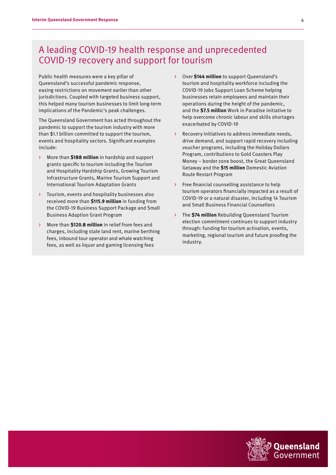# A leading COVID-19 health response and unprecedented COVID-19 recovery and support for tourism

Public health measures were a key pillar of Queensland's successful pandemic response, easing restrictions on movement earlier than other jurisdictions. Coupled with targeted business support, this helped many tourism businesses to limit long-term implications of the Pandemic's peak challenges.

The Queensland Government has acted throughout the pandemic to support the tourism industry with more than \$1.1 billion committed to support the tourism, events and hospitality sectors. Significant examples include:

- › More than **\$188 million** in hardship and support grants specific to tourism including the Tourism and Hospitality Hardship Grants, Growing Tourism Infrastructure Grants, Marine Tourism Support and International Tourism Adaptation Grants
- › Tourism, events and hospitality businesses also received more than **\$115.9 million** in funding from the COVID-19 Business Support Package and Small Business Adaption Grant Program
- › More than **\$120.8 million** in relief from fees and charges, including state land rent, marine berthing fees, inbound tour operator and whale watching fees, as well as liquor and gaming licensing fees
- › Over **\$144 million** to support Queensland's tourism and hospitality workforce including the COVID-19 Jobs Support Loan Scheme helping businesses retain employees and maintain their operations during the height of the pandemic, and the **\$7.5 million** Work in Paradise initiative to help overcome chronic labour and skills shortages exacerbated by COVID-19
- Recovery initiatives to address immediate needs, drive demand, and support rapid recovery including voucher programs, including the Holiday Dollars Program, contributions to Gold Coasters Play Money – border zone boost, the Great Queensland Getaway and the **\$15 million** Domestic Aviation Route Restart Program
- Free financial counselling assistance to help tourism operators financially impacted as a result of COVID-19 or a natural disaster, including 14 Tourism and Small Business Financial Counsellors
- › The **\$74 million** Rebuilding Queensland Tourism election commitment continues to support industry through: funding for tourism activation, events, marketing, regional tourism and future proofing the industry.

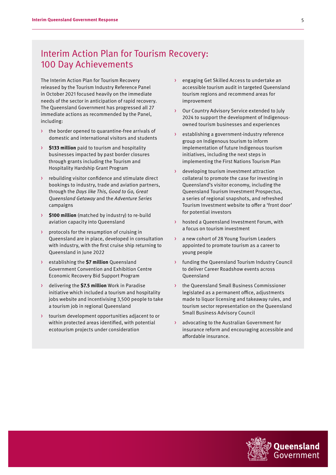# Interim Action Plan for Tourism Recovery: 100 Day Achievements

The Interim Action Plan for Tourism Recovery released by the Tourism Industry Reference Panel in October 2021 focused heavily on the immediate needs of the sector in anticipation of rapid recovery. The Queensland Government has progressed all 27 immediate actions as recommended by the Panel, including:

- › the border opened to quarantine-free arrivals of domestic and international visitors and students
- **\$133 million** paid to tourism and hospitality businesses impacted by past border closures through grants including the Tourism and Hospitality Hardship Grant Program
- › rebuilding visitor confidence and stimulate direct bookings to industry, trade and aviation partners, through the Days like This, Good to Go, Great Queensland Getaway and the Adventure Series campaigns
- **\$100 million** (matched by industry) to re-build aviation capacity into Queensland
- › protocols for the resumption of cruising in Queensland are in place, developed in consultation with industry, with the first cruise ship returning to Queensland in June 2022
- establishing the **\$7 million** Queensland Government Convention and Exhibition Centre Economic Recovery Bid Support Program
- › delivering the **\$7.5 million** Work in Paradise initiative which included a tourism and hospitality jobs website and incentivising 3,500 people to take a tourism job in regional Queensland
- › tourism development opportunities adjacent to or within protected areas identified, with potential ecotourism projects under consideration
- engaging Get Skilled Access to undertake an accessible tourism audit in targeted Queensland tourism regions and recommend areas for improvement
- Our Country Advisory Service extended to July 2024 to support the development of Indigenousowned tourism businesses and experiences
- establishing a government-industry reference group on Indigenous tourism to inform implementation of future Indigenous tourism initiatives, including the next steps in implementing the First Nations Tourism Plan
- › developing tourism investment attraction collateral to promote the case for investing in Queensland's visitor economy, including the Queensland Tourism Investment Prospectus, a series of regional snapshots, and refreshed Tourism Investment website to offer a 'front door' for potential investors
- hosted a Queensland Investment Forum, with a focus on tourism investment
- › a new cohort of 28 Young Tourism Leaders appointed to promote tourism as a career to young people
- funding the Queensland Tourism Industry Council to deliver Career Roadshow events across Queensland
- the Queensland Small Business Commissioner legislated as a permanent office, adjustments made to liquor licensing and takeaway rules, and tourism sector representation on the Queensland Small Business Advisory Council
- advocating to the Australian Government for insurance reform and encouraging accessible and affordable insurance.